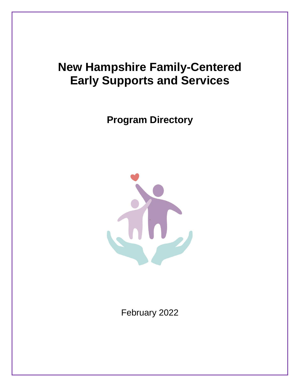# **New Hampshire Family-Centered Early Supports and Services**

**Program Directory**



February 2022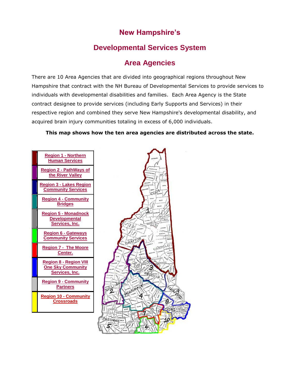# **New Hampshire's**

# **Developmental Services System**

# **Area Agencies**

There are 10 Area Agencies that are divided into geographical regions throughout New Hampshire that contract with the NH Bureau of Developmental Services to provide services to individuals with developmental disabilities and families. Each Area Agency is the State contract designee to provide services (including Early Supports and Services) in their respective region and combined they serve New Hampshire's developmental disability, and acquired brain injury communities totaling in excess of 6,000 individuals.

### **This map shows how the ten area agencies are distributed across the state.**

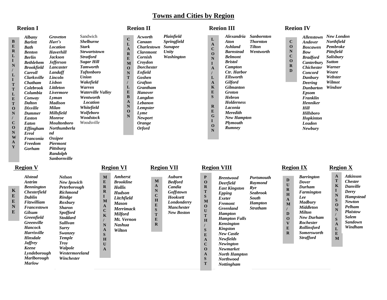### **Towns and Cities by Region**

| <b>Albany</b>      | <b>Groveton</b>     |
|--------------------|---------------------|
| <b>Barlett</b>     | Hart's              |
| <b>Bath</b>        | <b>Location</b>     |
| <b>Benton</b>      | <b>Haverhill</b>    |
| <b>Berlin</b>      | <b>Jackson</b>      |
| <b>Bethlehem</b>   | <b>Jefferson</b>    |
|                    | Lancaster           |
| <b>Carroll</b>     | Landaff             |
| <b>Clarksville</b> | Lincoln             |
| <b>Chatham</b>     | Lisbon              |
| <b>Colebrook</b>   | Littleton           |
| Columbia           | Livermore           |
| Conway             | Lyman               |
| <b>Dalton</b>      | <b>Madison</b>      |
| <b>Dixville</b>    | Milan               |
| <b>Dummer</b>      | Millsfield          |
| <b>Easton</b>      | Monroe              |
| Eaton              | <b>Moultonboro</b>  |
| <b>Effingham</b>   | <b>Northumberla</b> |
| <b>Errol</b>       | nd                  |
| Franconia          | <b>Ossipee</b>      |
| <b>Freedom</b>     | Piermont            |
| Gorham             | <b>Pittsburg</b>    |
|                    | Randolph            |
|                    | <b>Sanbornville</b> |
|                    | <b>Brookfield</b>   |

|    | Sandwich            |
|----|---------------------|
|    | <b>Shelburne</b>    |
|    | <b>Stark</b>        |
|    | <b>Stewartstown</b> |
|    | <b>Stratford</b>    |
|    | Sugar Hill          |
|    | <b>Tamworth</b>     |
|    | <b>Tuftonboro</b>   |
|    | Union               |
|    | Wakefield           |
|    | Warren              |
|    | Waterville Valley   |
|    | Wentworth           |
|    | Location            |
|    | Whitefield          |
|    | Wolfeboro           |
|    | Woodstock           |
|    | Woodsville          |
| la |                     |
|    |                     |
|    |                     |
|    |                     |

| C            | Acworth              | Plainfield                |
|--------------|----------------------|---------------------------|
| L            | Canaan               | <i><b>Springfield</b></i> |
| $\mathbf{A}$ | Charlestown          | <b>Sunapee</b>            |
| $\mathbf R$  | Claremont            | Unity                     |
| E            | Cornish              | Washington                |
|              | Croydon              |                           |
| M            | <b>Dorchester</b>    |                           |
| $\Omega$     |                      |                           |
| N            | Enfield              |                           |
| т            | Goshen               |                           |
| $\prime$     | Grafton              |                           |
| L            | Grantham             |                           |
| E            | <b>Hanover</b>       |                           |
| B            | Langdon              |                           |
| $\Delta$     | Lebanon              |                           |
| N            | <b>Lempster</b>      |                           |
| O            | Lyme                 |                           |
| N            |                      |                           |
|              | Newport              |                           |
|              | <i><b>Orange</b></i> |                           |
|              | Orford               |                           |
|              |                      |                           |

**C L A R E**

### **Region I Algebra 2 Region II Region II Region III Region II Region IV**

#### **L A C O N I A / L A K E S R E G I O N** *Alexandria Sanbornton Aton Ashland Barnstead Belmont Bristol Campton Ctr. Harbor Ellsworth Gilford Gilmanton Groton Hebron Holderness Laconia Meredith New Hampton Plymouth Rumney Thornton Tilton Wentworth* **C O N C O R D** *Allenstown New London Andover Boscawen Bow Bradford Canterbury Sutton Chichester Warner Concord Danbury Deering Dunbarton Windsor Epsom Franklin Henniker Hill Hillsboro Hopkinton Loudon Newbury Northfield Pembroke Pittsfield Salisbury Weare Webster Wilmot*

### **Region V**

**K E E N E**

| <b>Alstead</b>      | Nelsoi        |
|---------------------|---------------|
| <b>Antrim</b>       | NewI          |
| <b>Bennington</b>   | Peterb        |
| <b>Chesterfield</b> | <b>Richm</b>  |
| <b>Dublin</b>       | <b>Rindg</b>  |
| Fitzwilliam         | Roxbu         |
| Francestown         | Sharo         |
| Gilsum              | <b>Spoff</b>  |
| <b>Greenfield</b>   | <b>Stodde</b> |
| <b>Greenville</b>   | Sulliv        |
| <b>Hancock</b>      | Surry         |
| <b>Harrisville</b>  | <b>Swanz</b>  |
| <b>Hinsdale</b>     | Templ         |
| <b>Jaffrey</b>      | Trov          |
| <b>Keene</b>        | Walpo         |
| Lyndeborough        | Wester        |
| <b>Marlborough</b>  | Winch         |
| <b>Marlow</b>       |               |
|                     |               |

|                                                                                                                                                            | rtegion<br>V 1                                                                                                                                         |                                                                                                                                                                            |  |
|------------------------------------------------------------------------------------------------------------------------------------------------------------|--------------------------------------------------------------------------------------------------------------------------------------------------------|----------------------------------------------------------------------------------------------------------------------------------------------------------------------------|--|
| lson<br>w Ipswich<br>erborough<br>hmond<br>idge<br>xburv<br>ıron<br><i>offord</i><br>ddard<br>!livan<br>ry<br>anzey<br>nple<br>١y<br>lpole<br>stermoreland | M<br>E<br>$\bf{R}$<br>$\bf{R}$<br>L<br>M<br>$\mathbf{A}$<br>$\mathbf C$<br>$\mathbf K$<br>$\prime$<br>N<br>$\mathbf{A}$<br>S<br>H<br>U<br>$\mathbf{A}$ | <b>Amherst</b><br><b>Brookline</b><br><b>Hollis</b><br><b>Hudson</b><br>Litchfield<br>Mason<br><b>Merrimack</b><br><b>Milford</b><br>Mt. Vernon<br><b>Nashua</b><br>Wilton |  |
| nchester                                                                                                                                                   |                                                                                                                                                        |                                                                                                                                                                            |  |

**/**

**O A S T**

*Newmarket North Hampton Northwood Nottingham*

#### **P O R T S M O U T H S E A C** *Brentwood Deerfield East Kingston Epping Exeter Fremont Greenland Hampton Hampton Falls Kensington Kingston New Castle Newfields Newington* **D U R H A M / D O V E R** *Barrington Dover Durham Farmington Lee Madbury Middleton Milton New Durham Rochester Rollinsford Somersworth Strafford Portsmouth Raymond Rye Seabrook South Hampton Stratham* **Region V Region VI Region VII Region VIII Region IX Region X**

| $\blacktriangle$ | <b>Atkinson</b>       |
|------------------|-----------------------|
| Т                | <i><b>Chester</b></i> |
| K                | Danville              |
| T                | Derry                 |
| N                | <b>Hampstead</b>      |
| S                | <b>Newton</b>         |
| $\Omega$         | Pelham                |
| N                | <b>Plaistow</b>       |
| I                | <b>Salem</b>          |
| S                | Sandown               |
| $\mathbf{A}$     | Windham               |
| L                |                       |
| E                |                       |
| M                |                       |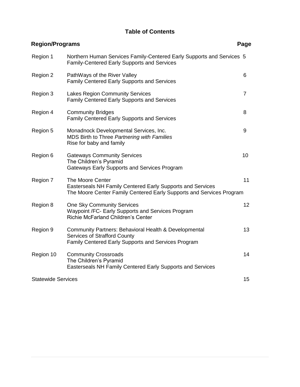## **Table of Contents**

| <b>Region/Programs</b>    |                                                                                                                                                        |                 |
|---------------------------|--------------------------------------------------------------------------------------------------------------------------------------------------------|-----------------|
| Region 1                  | Northern Human Services Family-Centered Early Supports and Services 5<br><b>Family-Centered Early Supports and Services</b>                            |                 |
| Region 2                  | PathWays of the River Valley<br><b>Family Centered Early Supports and Services</b>                                                                     | 6               |
| Region 3                  | <b>Lakes Region Community Services</b><br><b>Family Centered Early Supports and Services</b>                                                           | $\overline{7}$  |
| Region 4                  | <b>Community Bridges</b><br><b>Family Centered Early Supports and Services</b>                                                                         | 8               |
| Region 5                  | Monadnock Developmental Services, Inc.<br>MDS Birth to Three Partnering with Families<br>Rise for baby and family                                      | 9               |
| Region 6                  | <b>Gateways Community Services</b><br>The Children's Pyramid<br>Gateways Early Supports and Services Program                                           | 10              |
| Region 7                  | The Moore Center<br>Easterseals NH Family Centered Early Supports and Services<br>The Moore Center Family Centered Early Supports and Services Program | 11              |
| Region 8                  | <b>One Sky Community Services</b><br>Waypoint /FC- Early Supports and Services Program<br><b>Richie McFarland Children's Center</b>                    | 12 <sup>2</sup> |
| Region 9                  | Community Partners: Behavioral Health & Developmental<br><b>Services of Strafford County</b><br>Family Centered Early Supports and Services Program    | 13              |
| Region 10                 | <b>Community Crossroads</b><br>The Children's Pyramid<br>Easterseals NH Family Centered Early Supports and Services                                    | 14              |
| <b>Statewide Services</b> |                                                                                                                                                        | 15              |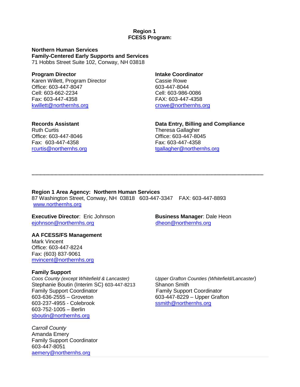### **Region 1 FCESS Program:**

**Northern Human Services Family-Centered Early Supports and Services** 71 Hobbs Street Suite 102, Conway, NH 03818

### **Program Director Intake Coordinator** Karen Willett, Program Director **Cassie Rowe** Office: 603-447-8047 603-447-8044 Cell: 603-662-2234 Cell: 603-986-0086 Fax: 603-447-4358 FAX: 603-447-4358

[kwillett@northernhs.org](mailto:kwillett@northernhs.org) [crowe@northernhs.org](mailto:crowe@northernhs.org)

**Ruth Curtis Contract Contract Contract Contract Contract Contract Contract Contract Contract Contract Contract Contract Contract Contract Contract Contract Contract Contract Contract Contract Contract Contract Contract Co** Office: 603-447-8046 Office: 603-447-8045 Fax: 603-447-4358 Fax: 603-447-4358

# **Records Assistant Data Entry, Billing and Compliance** [rcurtis@northernhs.org](mailto:rcurtis@northernhs.org) [tgallagher@northernhs.org](mailto:tgallagher@northernhs.org)

**............................................................................................................................................................................**

**Region 1 Area Agency: Northern Human Services** 87 Washington Street, Conway, NH 03818 603-447-3347 FAX: 603-447-8893 [www.northernhs.org](http://www.northernhs.org/) 

**Executive Director**: Eric Johnson **Business Manager**: Dale Heon [ejohnson@northernhs.org](mailto:ejohnson@northernhs.org) [dheon@northernhs.org](mailto:dheon@northernhs.org)

**AA FCESS/FS Management**  Mark Vincent Office: 603-447-8224 Fax: (603) 837-9061 [mvincent@northernhs.org](mailto:mvincent@northernhs.org)

### **Family Support**

Stephanie Boutin (Interim SC) 603-447-8213 Shanon Smith Family Support Coordinator **Family Support Coordinator** Family Support Coordinator 603-636-2555 – Groveton 603-447-8229 – Upper Grafton 603-237-4955 - Colebrook [ssmith@northernhs.org](mailto:ssmith@northernhs.org) 603-752-1005 – Berlin [sboutin@northernhs.org](mailto:sboutin@northernhs.org)

*Carroll County* Amanda Emery Family Support Coordinator 603-447-8051 [aemery@northernhs.org](mailto:aemery@northernhs.org)

*Coos County (except Whitefield & Lancaster) Upper Grafton Counties (Whitefield/Lancaster*)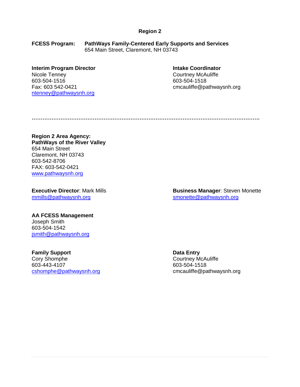**FCESS Program: PathWays Family-Centered Early Supports and Services** 654 Main Street, Claremont, NH 03743

# **Interim Program Director Coordinator Intake Coordinator** Nicole Tenney Courtney McAuliffe 603-504-1516 603-504-1518

[ntenney@pathwaysnh.org](mailto:ntenney@pathwaysnh.org)

Fax: 603 542-0421 cmcauliffe@pathwaysnh.org

**……………………………………………………………………………………………………………….**

### **Region 2 Area Agency: PathWays of the River Valley** 654 Main Street Claremont, NH 03743 603-542-8706 FAX: 603-542-0421 [www.pathwaysnh.org](http://www.pathwaysnh.org/)

[mmills@pathwaysnh.org](mailto:mmills@pathwaysnh.org) [smonette@pathwaysnh.org](mailto:smonette@pathwaysnh.org)

**Executive Director:** Mark Mills **Business Manager: Steven Monette** 

### **AA FCESS Management**

Joseph Smith 603-504-1542 [jsmith@pathwaysnh.org](mailto:jsmith@pathwaysnh.org)

**Family Support**<br>
Cory Shomphe **Data Entry Courtney M**<br>
Courtney M 603-443-4107 603-504-1518 [cshomphe@pathwaysnh.org](mailto:jwarner@pathwaysnh.org) comcauliffe@pathwaysnh.org

Courtney McAuliffe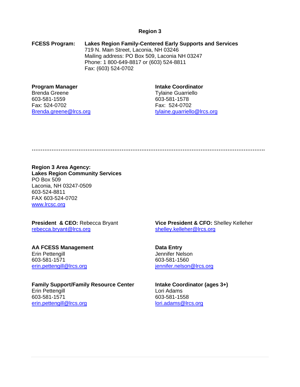**FCESS Program: Lakes Region Family-Centered Early Supports and Services** 719 N. Main Street, Laconia, NH 03246 Mailing address: PO Box 509, Laconia NH 03247 Phone: 1 800-649-8817 or (603) 524-8811 Fax: (603) 524-0702

#### **Program Manager Intake Coordinator**

Brenda Greene Tylaine Guarriello 603-581-1559 603-581-1578 Fax: 524-0702 Fax: 524-0702

Brenda.greene@lrcs.org tylaine.guarriello@lrcs.org

**………………………………………………………………………………………………………………….**

### **Region 3 Area Agency:**

**Lakes Region Community Services** PO Box 509 Laconia, NH 03247-0509 603-524-8811 FAX 603-524-0702 [www.lrcsc.org](http://www.lrcsc.org/)

# [rebecca.bryant@lrcs.org](mailto:rebecca.bryant@lrcs.org) [shelley.kelleher@lrcs.org](mailto:shelley.kelleher@lrcs.org)

**AA FCESS Management Data Entry** Erin Pettengill **Guide Contract Contract Contract Contract Contract Contract Contract Contract Contract Contract Contract Contract Contract Contract Contract Contract Contract Contract Contract Contract Contract Contract C** 603-581-1571 603-581-1560 [erin.pettengill@lrcs.org](mailto:erin.pettengill@lrcs.org) intertaction in the intertaction of the intertaction of the intertaction of the intertaction of the intertwine in the intertwine of the intertwine intertwine in the intertwine intertwine in the int

**Family Support/Family Resource Center Intake Coordinator (ages 3+)** Erin Pettengill **Lori Adams** 603-581-1571 603-581-1558 [erin.pettengill@lrcs.org](mailto:erin.pettengill@lrcs.org) [lori.adams@lrcs.org](mailto:lori.adams@lrcs.org)

**President & CEO:** Rebecca Bryant **Vice President & CFO:** Shelley Kelleher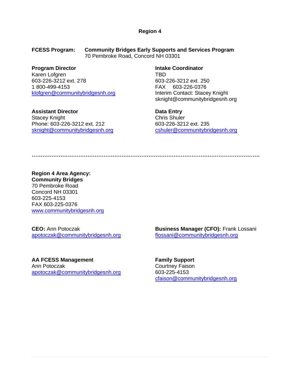**FCESS Program: Community Bridges Early Supports and Services Program** 70 Pembroke Road, Concord NH 03301

Karen Lofgren TBD 603-226-3212 ext. 278 603-226-3212 ext. 250 1 800-499-4153 FAX 603-226-0376 [klofgren@communitybridgesnh.org](mailto:klofgren@communitybridgesnh.org) Interim Contact: Stacey Knight

**Assistant Director Data Entry** Stacey Knight Chris Shuler Phone: 603-226-3212 ext. 212 603-226-3212 ext. 235

**Program Director Intake Coordinator** sknight@communitybridgesnh.org

[sknight@communitybridgesnh.org](mailto:sknight@communitybridgesnh.org) [cshuler@communitybridgesnh.org](mailto:cshuler@communitybridgesnh.org)

**……………………………………………………………………………………………………………….**

**Region 4 Area Agency: Community Bridges** 70 Pembroke Road Concord NH 03301 603-225-4153 FAX 603-225-0376 [www.communitybridgesnh.org](http://www.communitybridgesnh.org/)

[apotoczak@communitybridgesnh.org](mailto:apotoczak@communitybridgesnh.org%3cmailto:apotoczak@communitybridgesnh.org) [flossani@communitybridgesnh.org](mailto:flossani@communitybridgesnh.org)

**AA FCESS Management Family Support** Ann Potoczak Courtney Faison [apotoczak@communitybridgesnh.org](mailto:apotoczak@communitybridgesnh.org%3cmailto:apotoczak@communitybridgesnh.org) 603-225-4153

**CEO:** Ann Potoczak **Business Manager (CFO):** Frank Lossani

[cfaison@communitybridgesnh.org](mailto:cfaison@communitybridgesnh.org)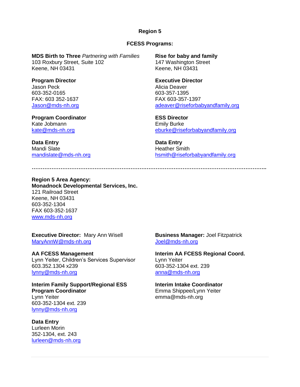### **FCESS Programs:**

**…………………………………………………………………………………………………………………..**

**MDS Birth to Three** *Partnering with Families* **Rise for baby and family** 103 Roxbury Street, Suite 102 147 Washington Street Keene, NH 03431 Keene, NH 03431

Jason Peck **Alicia** Deaver 603-352-0165 603-357-1395 FAX: 603 352-1637 FAX 603-357-1397

**Program Coordinator**<br> **ESS Director**<br> **Emily Burke**<br> **Emily Burke** Kate Jobmann<br>kate@mds-nh.org

**Data Entry Data Entry** Mandi Slate **Mandi Slate Heather Smith** 

**Program Director Executive Director** [Jason@mds-nh.org](mailto:Jason@mds-nh.org) [adeaver@riseforbabyandfamily.org](mailto:adeaver@riseforbabyandfamily.org)

[eburke@riseforbabyandfamily.org](mailto:eburke@riseforbabyandfamily.org)

[mandislate@mds-nh.org](mailto:mandislate@mds-nh.org) https://www.mandislate@mds-nh.org hsmith@riseforbabyandfamily.org

**Region 5 Area Agency: Monadnock Developmental Services, Inc.** 121 Railroad Street Keene, NH 03431 603-352-1304 FAX 603-352-1637 [www.mds-nh.org](http://www.mds-nh.org/)

**Executive Director:** Mary Ann Wisell **Business Manager:** Joel Fitzpatrick [MaryAnnW@mds-nh.org](mailto:MaryAnnW@mds-nh.org) details and details and details and details and details are detailed and details and details and details are details and details are detailed and details are details and details are details and details

**AA FCESS Management Interim AA FCESS Regional Coord.** Lynn Yeiter, Children's Services Supervisor Lynn Yeiter 603.352.1304 x239 603-352-1304 ext. 239 [lynny@mds-nh.org](mailto:lynny@mds-nh.org) [anna@mds-nh.org](mailto:anna@mds-nh.org)

**Interim Family Support/Regional ESS Interim Intake Coordinator Program Coordinator Emma Shippee/Lynn Yeiter** Lynn Yeiter emma@mds-nh.org 603-352-1304 ext. 239 [lynny@mds-nh.org](mailto:lynny@mds-nh.org)

**Data Entry** Lurleen Morin 352-1304, ext. 243 [lurleen@mds-nh.org](mailto:lurleen@mds-nh.org_)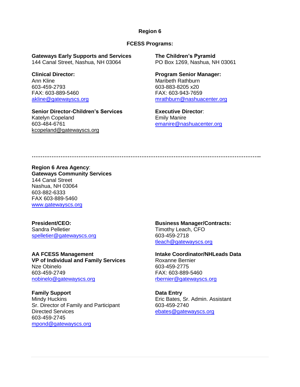#### **FCESS Programs:**

**Gateways Early Supports and Services The Children's Pyramid** 144 Canal Street, Nashua, NH 03064 PO Box 1269, Nashua, NH 03061

Ann Kline **Maribeth Rathburn** 603-459-2793 603-883-8205 x20 FAX: 603-889-5460 FAX: 603-943-7659

**Senior Director-Children's Services Executive Director**: Katelyn Copeland Emily Manire kcopeland@gatewayscs.org

**Clinical Director: Program Senior Manager:** [akline@gatewayscs.org](mailto:akline@gatewayscs.org) [mrathburn@nashuacenter.org](mailto:mrathburn@nashuacenter.org)

[emanire@nashuacenter.org](mailto:emanire@nashuacenter.org)

**………………………………………………………………………………………………………………..**

**Region 6 Area Agency**: **Gateways Community Services** 144 Canal Street Nashua, NH 03064 603-882-6333 FAX 603-889-5460 [www.gatewayscs.org](http://www.gatewayscs.org/)

[spelletier@gatewayscs.org](mailto:spelletier@gatewayscs.org) 603-459-2718

**AA FCESS Management Intake Coordinator/NHLeads Data VP** of Individual and Family Services Roxanne Bernier Nze Obinelo 603-459-2775 603-459-2749 FAX: 603-889-5460 [nobinelo@gatewayscs.org](mailto:nobinelo@gatewayscs.org) rbernier@gatewayscs.org

**Family Support Data Entry** Mindy Huckins Eric Bates, Sr. Admin. Assistant Sr. Director of Family and Participant 603-459-2740 Directed Services [ebates@gatewayscs.org](mailto:ebates@gatewayscs.org) 603-459-2745 [mpond@gatewayscs.org](mailto:mpond@gatewayscs.org)

**President/CEO: Business Manager/Contracts:** Timothy Leach, CFO [tleach@gatewayscs.org](mailto:tleach@gatewayscs.org)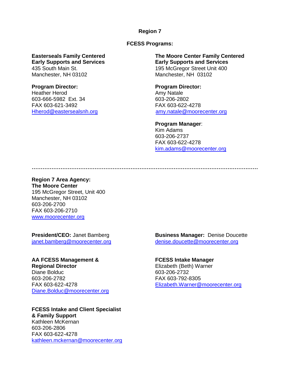**FCESS Programs:**

Manchester, NH 03102 Manchester, NH 03102

## **Program Director: Program Director:** Heather Herod **Amy Natale** 603-666-5982 Ext. 34 603-206-2802 FAX 603-621-3492 FAX 603-622-4278

**Easterseals Family Centered The Moore Center Family Centered Early Supports and Services Early Supports and Services** 435 South Main St. 195 McGregor Street Unit 400

[Hherod@eastersealsnh.org](mailto:Hherod@eastersealsnh.org) [amy.natale@moorecenter.org](mailto:amy.natale@moorecenter.org)

**Program Manager**: Kim Adams 603-206-2737 FAX 603-622-4278 [kim.adams@moorecenter.org](mailto:kim.adams@moorecenter.org)

**………………………………………………………………………………………………………………**

**Region 7 Area Agency: The Moore Center**  195 McGregor Street, Unit 400 Manchester, NH 03102 603-206-2700 FAX 603-206-2710 [www.moorecenter.org](http://www.moorecenter.org/)

**AA FCESS Management & FCESS Intake Manager Regional Director Elizabeth (Beth) Warner** Diane Bolduc 603-206-2732 603-206-2782 FAX 603-792-8305 [Diane.Bolduc@moorecenter.org](mailto:Diane.Bolduc@moorecenter.org)

**FCESS Intake and Client Specialist & Family Support** Kathleen McKernan 603-206-2806 FAX 603-622-4278 [kathleen.mckernan@moorecenter.org](mailto:kathleen.mckernan@moorecenter.org)

**President/CEO:** Janet Bamberg **Business Manager:** Denise Doucette [janet.bamberg@moorecenter.org](mailto:janet.bamberg@moorecenter.org) [denise.doucette@moorecenter.org](mailto:denise.doucette@moorecenter.org)

FAX 603-622-4278 [Elizabeth.Warner@moorecenter.org](mailto:Elizabeth.Warner@moorecenter.org)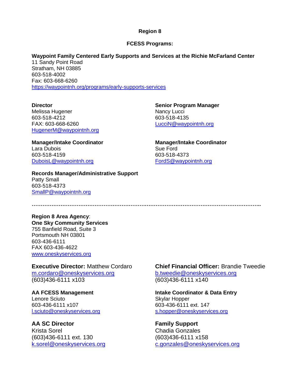#### **FCESS Programs:**

# **Waypoint Family Centered Early Supports and Services at the Richie McFarland Center**

11 Sandy Point Road Stratham, NH 03885 603-518-4002 Fax: 603-668-6260 [https://waypointnh.org/programs/early-supports-services](https://urldefense.com/v3/__https:/waypointnh.org/programs/early-supports-services__;!!Oai6dtTQULp8Sw!DwXwfhxLLtsIm08rW-fg147GeC0He43dsUOiWH1J-JtFnczhIGnda4iOEFS6cF1sMV4pnziFlEb6$)

Melissa Hugener Nancy Lucci 603-518-4212 603-518-4135 FAX: 603-668-6260 [LucciN@waypointnh.org](file://///DHHS.STATE.NH.US/DATA/DDS/Group/NHFCESS/General/Directories,%20Resource%20Lists,%20Contacts/LucciN@waypointnh.org) [HugenerM@waypointnh.org](mailto:HugenerM@waypointnh.org)

Lara Dubois Sue Ford 603-518-4159 603-518-4373 [DuboisL@waypointnh.org](file://///DHHS.STATE.NH.US/DATA/DDS/Group/NHFCESS/General/Directories,%20Resource%20Lists,%20Contacts/DuboisL@waypointnh.org) [FordS@waypointnh.org](mailto:FordS@waypointnh.org)

**Records Manager/Administrative Support** Patty Small 603-518-4373 [SmallP@waypointnh.org](mailto:SmallP@waypointnh.org)

**Director Senior Program Manager**

**Manager/Intake Coordinator Manager/Intake Coordinator**

**………………………………………………………………………………………………………………..**

**Region 8 Area Agency**: **One Sky Community Services** 755 Banfield Road, Suite 3 Portsmouth NH 03801 603-436-6111 FAX 603-436-4622 [www.oneskyservices.org](http://www.cdsregion8.org/)

[m.cordaro@oneskyservices.org](mailto:m.cordaro@oneskyservices.org) [b.tweedie@oneskyservices.org](mailto:b.tweedie@oneskyservices.org) (603)436-6111 x103 (603)436-6111 x140

Lenore Sciuto **Skylar Hopper** Skylar Hopper 603-436-6111 x107 603-436-6111 ext. 147

**AA SC Director Family Support** Krista Sorel **Chadia Gonzales** (603)436-6111 ext. 130 (603)436-6111 x158

**Executive Director:** Matthew Cordaro **Chief Financial Officer:** Brandie Tweedie

**AA FCESS Management Intake Coordinator & Data Entry** l.sciuto@oneskyservices.org [s.hopper@oneskyservices.org](mailto:s.hopper@oneskyservices.org)

[k.sorel@oneskyservices.org](mailto:k.sorel@oneskyservices.org) [c.gonzales@oneskyservices.org](mailto:c.gonzales@oneskyservices.org)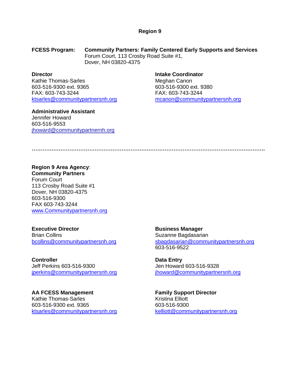**FCESS Program: Community Partners: Family Centered Early Supports and Services** Forum Court, 113 Crosby Road Suite #1, Dover, NH 03820-4375

Kathie Thomas-Sarles Meghan Canon 603-516-9300 ext. 9365 603-516-9300 ext. 9380 FAX: 603-743-3244 FAX: 603-743-3244 [ktsarles@communitypartnersnh.org](mailto:ktsarles@communitypartnersnh.org) [mcanon@communitypartnersnh.org](mailto:mcanon@communitypartnersnh.org)

**Administrative Assistant**

Jennifer Howard 603-516-9553 jhoward@communitypartnernh.org

**Director Intake Coordinator**

**………………………………………………………………………………………………………………….**

# **Region 9 Area Agency**:

**Community Partners** Forum Court 113 Crosby Road Suite #1 Dover, NH 03820-4375 603-516-9300 FAX 603-743-3244 [www.Communitypartnersnh.org](http://www.communitypartnersnh.org/)

**Executive Director Business Manager** Brian Collins **Suzanne Bagdasarian** 

**Controller**<br> **Data Entry**<br> **Data Entry**<br> **Data Entry**<br> **Data Entry**<br> **Data Entry** 

**AA FCESS Management Family Support Director** Kathie Thomas-Sarles 603-516-9300 ext. 9365 603-516-9300 [ktsarles@communitypartnersnh.org](mailto:ktsarles@communitypartnersnh.org) [kelliott@communitypartnersnh.org](mailto:kelliott@communitypartnersnh.org)

[bcollins@communitypartnersnh.org](mailto:bcollins@communitypartnersnh.org) sbagdasarian@communitypartnersnh.org 603-516-9522

Jen Howard 603-516-9328 [jperkins@communitypartnersnh.org](mailto:jperkins@communitypartnersnh.org) [jhoward@communitypartnersnh.org](mailto:jhoward@communitypartnersnh.org)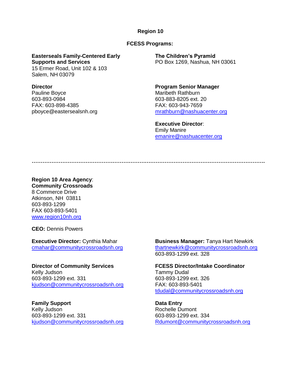#### **FCESS Programs:**

**Easterseals Family-Centered Early The Children's Pyramid Supports and Services** PO Box 1269, Nashua, NH 03061

15 Ermer Road, Unit 102 & 103 Salem, NH 03079

Pauline Boyce **Maribeth Rathburn** 603-893-0984 603-883-8205 ext. 20 FAX: 603-898-4385 FAX: 603-943-7659

**Director Program Senior Manager** pboyce@eastersealsnh.org [mrathburn@nashuacenter.org](mailto:mrathburn@nashuacenter.org)

> **Executive Director**: Emily Manire [emanire@nashuacenter.org](mailto:emanire@nashuacenter.org)

**………………………………………………………………………………………………………………….**

#### **Region 10 Area Agency**: **Community Crossroads**

8 Commerce Drive Atkinson, NH 03811 603-893-1299 FAX 603-893-5401 [www.region10nh.org](http://www.region10nh.org/)

**CEO:** Dennis Powers

Kelly Judson **Tammy Dudal** 603-893-1299 ext. 331 603-893-1299 ext. 326 [kjudson@communitycrossroadsnh.org](mailto:kjudson@communitycrossroadsnh.org) FAX: 603-893-5401

**Family Support Data Entry**<br> **Data Entry**<br> **Rochelle Du**<br> **Data Entry** 603-893-1299 ext. 331 603-893-1299 ext. 334

**Executive Director:** Cynthia Mahar **Business Manager:** Tanya Hart Newkirk [cmahar@communitycrossroadsnh.org](mailto:cmahar@communitycrossroadsnh.org) [thartnewkirk@communitycrossroadsnh.org](mailto:thartnewkirk@communitycrossroadsnh.org)  603-893-1299 ext. 328

**Director of Community Services FCESS Director/Intake Coordinator** [tdudal@communitycrossroadsnh.org](mailto:tdudal@communitycrossroadsnh.org)

Rochelle Dumont [kjudson@communitycrossroadsnh.org](mailto:kjudson@communitycrossroadsnh.org) [Rdumont@communitycrossroadsnh.org](mailto:Rdumont@communitycrossroadsnh.org)